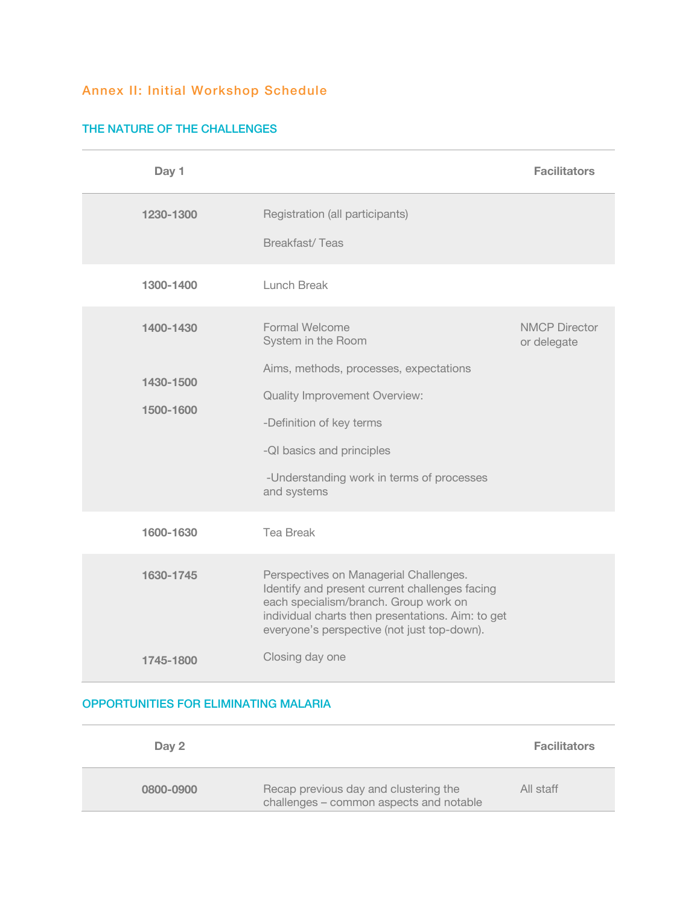## Annex II: Initial Workshop Schedule

## THE NATURE OF THE CHALLENGES

| Day 1                               |                                                                                                                                                                                                                                                    | <b>Facilitators</b>                 |
|-------------------------------------|----------------------------------------------------------------------------------------------------------------------------------------------------------------------------------------------------------------------------------------------------|-------------------------------------|
| 1230-1300                           | Registration (all participants)<br><b>Breakfast/Teas</b>                                                                                                                                                                                           |                                     |
| 1300-1400                           | Lunch Break                                                                                                                                                                                                                                        |                                     |
| 1400-1430<br>1430-1500<br>1500-1600 | <b>Formal Welcome</b><br>System in the Room<br>Aims, methods, processes, expectations<br><b>Quality Improvement Overview:</b><br>-Definition of key terms<br>-QI basics and principles<br>-Understanding work in terms of processes<br>and systems | <b>NMCP Director</b><br>or delegate |
| 1600-1630                           | <b>Tea Break</b>                                                                                                                                                                                                                                   |                                     |
| 1630-1745                           | Perspectives on Managerial Challenges.<br>Identify and present current challenges facing<br>each specialism/branch. Group work on<br>individual charts then presentations. Aim: to get<br>everyone's perspective (not just top-down).              |                                     |
| 1745-1800                           | Closing day one                                                                                                                                                                                                                                    |                                     |

## OPPORTUNITIES FOR ELIMINATING MALARIA

| Day 2     |                                                                                  | <b>Facilitators</b> |
|-----------|----------------------------------------------------------------------------------|---------------------|
| 0800-0900 | Recap previous day and clustering the<br>challenges - common aspects and notable | All staff           |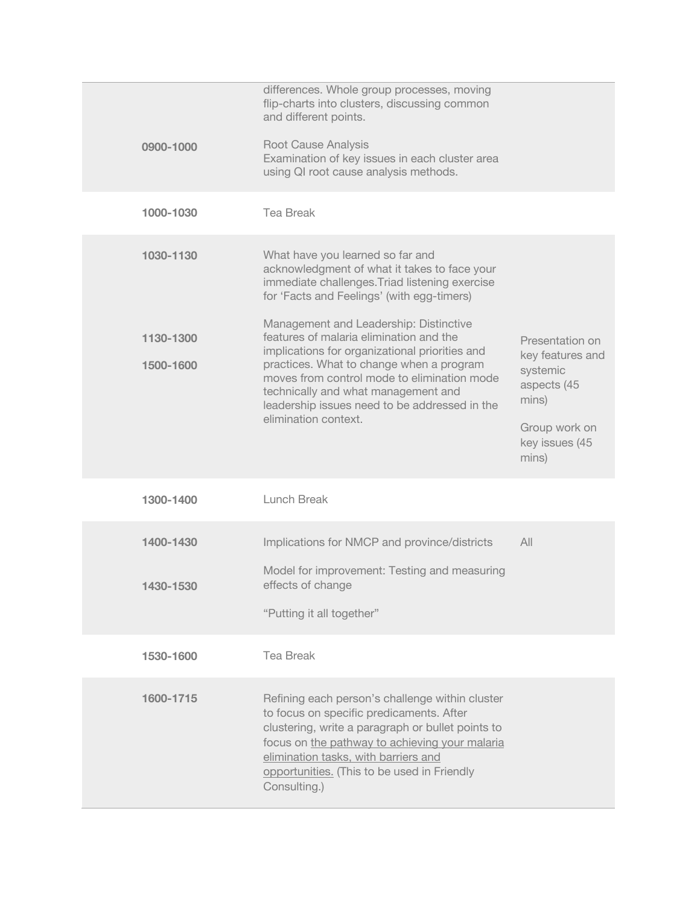| 0900-1000              | differences. Whole group processes, moving<br>flip-charts into clusters, discussing common<br>and different points.<br><b>Root Cause Analysis</b><br>Examination of key issues in each cluster area<br>using QI root cause analysis methods.                                                                                                   |                                                                                                                     |
|------------------------|------------------------------------------------------------------------------------------------------------------------------------------------------------------------------------------------------------------------------------------------------------------------------------------------------------------------------------------------|---------------------------------------------------------------------------------------------------------------------|
| 1000-1030              | <b>Tea Break</b>                                                                                                                                                                                                                                                                                                                               |                                                                                                                     |
| 1030-1130              | What have you learned so far and<br>acknowledgment of what it takes to face your<br>immediate challenges. Triad listening exercise<br>for 'Facts and Feelings' (with egg-timers)                                                                                                                                                               |                                                                                                                     |
| 1130-1300<br>1500-1600 | Management and Leadership: Distinctive<br>features of malaria elimination and the<br>implications for organizational priorities and<br>practices. What to change when a program<br>moves from control mode to elimination mode<br>technically and what management and<br>leadership issues need to be addressed in the<br>elimination context. | Presentation on<br>key features and<br>systemic<br>aspects (45<br>mins)<br>Group work on<br>key issues (45<br>mins) |
| 1300-1400              | Lunch Break                                                                                                                                                                                                                                                                                                                                    |                                                                                                                     |
| 1400-1430              | Implications for NMCP and province/districts                                                                                                                                                                                                                                                                                                   | All                                                                                                                 |
| 1430-1530              | Model for improvement: Testing and measuring<br>effects of change<br>"Putting it all together"                                                                                                                                                                                                                                                 |                                                                                                                     |
| 1530-1600              | <b>Tea Break</b>                                                                                                                                                                                                                                                                                                                               |                                                                                                                     |
| 1600-1715              | Refining each person's challenge within cluster<br>to focus on specific predicaments. After<br>clustering, write a paragraph or bullet points to<br>focus on the pathway to achieving your malaria<br>elimination tasks, with barriers and<br>opportunities. (This to be used in Friendly<br>Consulting.)                                      |                                                                                                                     |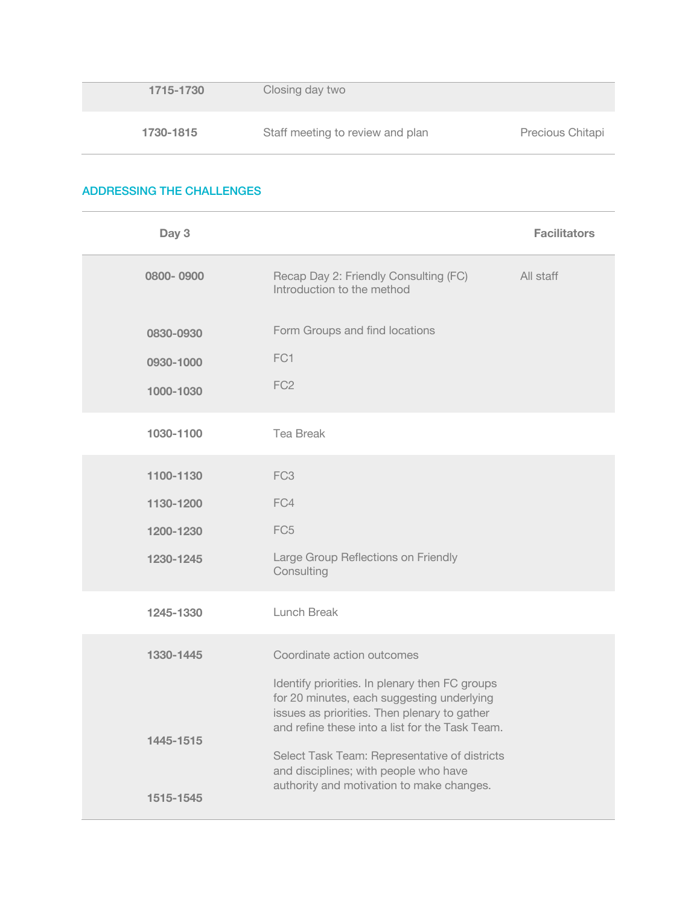| 1715-1730 | Closing day two                  |                  |
|-----------|----------------------------------|------------------|
| 1730-1815 | Staff meeting to review and plan | Precious Chitapi |

## ADDRESSING THE CHALLENGES

| Day 3                  |                                                                                                                                                                                                                                                                                                                                        | <b>Facilitators</b> |
|------------------------|----------------------------------------------------------------------------------------------------------------------------------------------------------------------------------------------------------------------------------------------------------------------------------------------------------------------------------------|---------------------|
| 0800-0900              | Recap Day 2: Friendly Consulting (FC)<br>Introduction to the method                                                                                                                                                                                                                                                                    | All staff           |
| 0830-0930              | Form Groups and find locations                                                                                                                                                                                                                                                                                                         |                     |
| 0930-1000              | FC1                                                                                                                                                                                                                                                                                                                                    |                     |
| 1000-1030              | FC <sub>2</sub>                                                                                                                                                                                                                                                                                                                        |                     |
| 1030-1100              | <b>Tea Break</b>                                                                                                                                                                                                                                                                                                                       |                     |
| 1100-1130              | FC <sub>3</sub>                                                                                                                                                                                                                                                                                                                        |                     |
| 1130-1200              | FC4                                                                                                                                                                                                                                                                                                                                    |                     |
| 1200-1230              | FC <sub>5</sub>                                                                                                                                                                                                                                                                                                                        |                     |
| 1230-1245              | Large Group Reflections on Friendly<br>Consulting                                                                                                                                                                                                                                                                                      |                     |
| 1245-1330              | Lunch Break                                                                                                                                                                                                                                                                                                                            |                     |
| 1330-1445              | Coordinate action outcomes                                                                                                                                                                                                                                                                                                             |                     |
| 1445-1515<br>1515-1545 | Identify priorities. In plenary then FC groups<br>for 20 minutes, each suggesting underlying<br>issues as priorities. Then plenary to gather<br>and refine these into a list for the Task Team.<br>Select Task Team: Representative of districts<br>and disciplines; with people who have<br>authority and motivation to make changes. |                     |
|                        |                                                                                                                                                                                                                                                                                                                                        |                     |